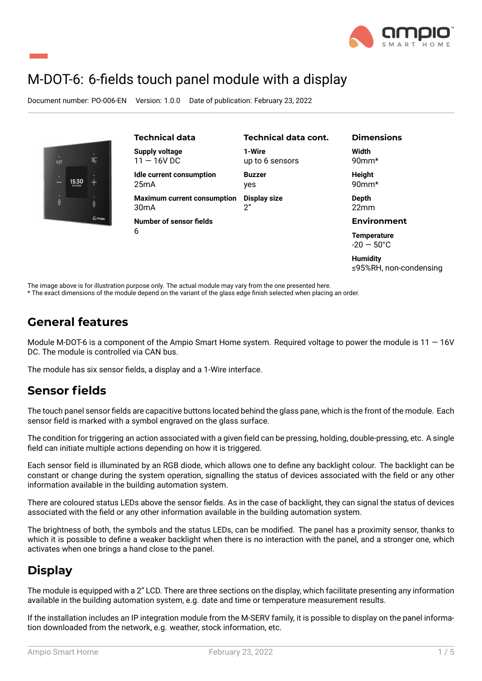

# M-DOT-6: 6-fields touch panel module with a display

Document number: PO-006-EN Version: 1.0.0 Date of publication: February 23, 2022



≤95%RH, non-condensing

The image above is for illustration purpose only. The actual module may vary from the one presented here. \* The exact dimensions of the module depend on the variant of the glass edge finish selected when placing an order.

## **General features**

Module M-DOT-6 is a component of the Ampio Smart Home system. Required voltage to power the module is  $11 - 16V$ DC. The module is controlled via CAN bus.

The module has six sensor fields, a display and a 1-Wire interface.

## **Sensor fields**

The touch panel sensor fields are capacitive buttons located behind the glass pane, which is the front of the module. Each sensor field is marked with a symbol engraved on the glass surface.

The condition for triggering an action associated with a given field can be pressing, holding, double-pressing, etc. A single field can initiate multiple actions depending on how it is triggered.

Each sensor field is illuminated by an RGB diode, which allows one to define any backlight colour. The backlight can be constant or change during the system operation, signalling the status of devices associated with the field or any other information available in the building automation system.

There are coloured status LEDs above the sensor fields. As in the case of backlight, they can signal the status of devices associated with the field or any other information available in the building automation system.

The brightness of both, the symbols and the status LEDs, can be modified. The panel has a proximity sensor, thanks to which it is possible to define a weaker backlight when there is no interaction with the panel, and a stronger one, which activates when one brings a hand close to the panel.

# **Display**

The module is equipped with a 2" LCD. There are three sections on the display, which facilitate presenting any information available in the building automation system, e.g. date and time or temperature measurement results.

If the installation includes an IP integration module from the M-SERV family, it is possible to display on the panel information downloaded from the network, e.g. weather, stock information, etc.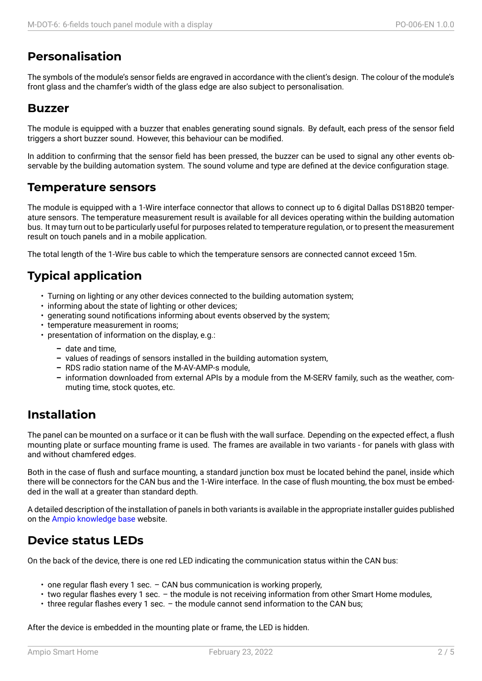# **Personalisation**

The symbols of the module's sensor fields are engraved in accordance with the client's design. The colour of the module's front glass and the chamfer's width of the glass edge are also subject to personalisation.

#### **Buzzer**

The module is equipped with a buzzer that enables generating sound signals. By default, each press of the sensor field triggers a short buzzer sound. However, this behaviour can be modified.

In addition to confirming that the sensor field has been pressed, the buzzer can be used to signal any other events observable by the building automation system. The sound volume and type are defined at the device configuration stage.

#### **Temperature sensors**

The module is equipped with a 1-Wire interface connector that allows to connect up to 6 digital Dallas DS18B20 temperature sensors. The temperature measurement result is available for all devices operating within the building automation bus. It may turn out to be particularly useful for purposes related to temperature regulation, or to present the measurement result on touch panels and in a mobile application.

The total length of the 1-Wire bus cable to which the temperature sensors are connected cannot exceed 15m.

# **Typical application**

- Turning on lighting or any other devices connected to the building automation system;
- informing about the state of lighting or other devices;
- generating sound notifications informing about events observed by the system;
- temperature measurement in rooms;
- presentation of information on the display, e.g.:
	- **–** date and time,
	- **–** values of readings of sensors installed in the building automation system,
	- **–** RDS radio station name of the M-AV-AMP-s module,
	- **–** information downloaded from external APIs by a module from the M-SERV family, such as the weather, commuting time, stock quotes, etc.

## **Installation**

The panel can be mounted on a surface or it can be flush with the wall surface. Depending on the expected effect, a flush mounting plate or surface mounting frame is used. The frames are available in two variants - for panels with glass with and without chamfered edges.

Both in the case of flush and surface mounting, a standard junction box must be located behind the panel, inside which there will be connectors for the CAN bus and the 1-Wire interface. In the case of flush mounting, the box must be embedded in the wall at a greater than standard depth.

A detailed description of the installation of panels in both variants is available in the appropriate installer guides published on the Ampio knowledge base website.

## **Device status LEDs**

On the [back of the device, ther](https://help.ampio.com)e is one red LED indicating the communication status within the CAN bus:

- one regular flash every 1 sec. CAN bus communication is working properly,
- two regular flashes every 1 sec. the module is not receiving information from other Smart Home modules,
- three regular flashes every 1 sec. the module cannot send information to the CAN bus;

After the device is embedded in the mounting plate or frame, the LED is hidden.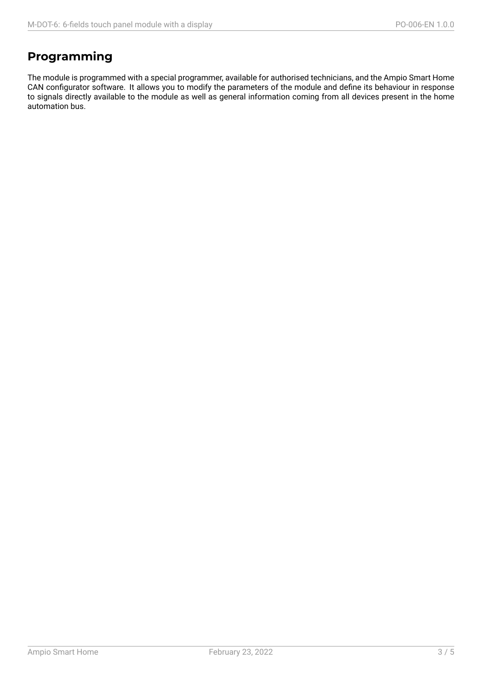# **Programming**

The module is programmed with a special programmer, available for authorised technicians, and the Ampio Smart Home CAN configurator software. It allows you to modify the parameters of the module and define its behaviour in response to signals directly available to the module as well as general information coming from all devices present in the home automation bus.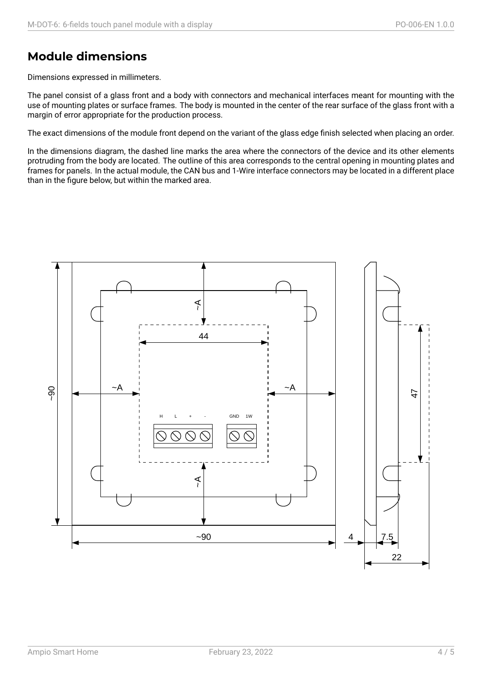# **Module dimensions**

Dimensions expressed in millimeters.

The panel consist of a glass front and a body with connectors and mechanical interfaces meant for mounting with the use of mounting plates or surface frames. The body is mounted in the center of the rear surface of the glass front with a margin of error appropriate for the production process.

The exact dimensions of the module front depend on the variant of the glass edge finish selected when placing an order.

In the dimensions diagram, the dashed line marks the area where the connectors of the device and its other elements protruding from the body are located. The outline of this area corresponds to the central opening in mounting plates and frames for panels. In the actual module, the CAN bus and 1-Wire interface connectors may be located in a different place than in the figure below, but within the marked area.